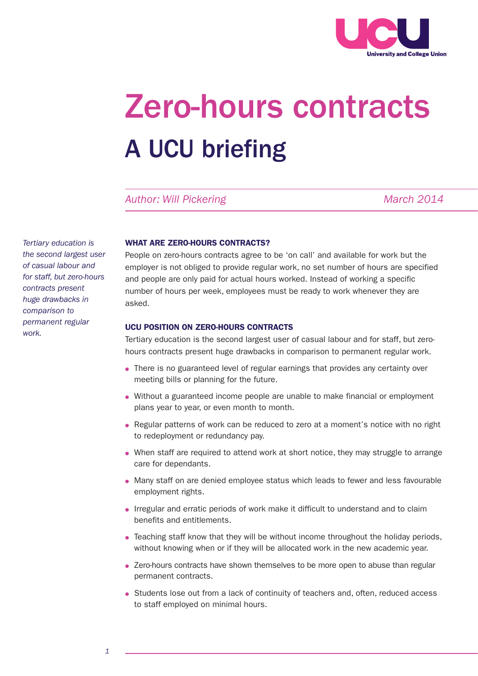

# A UCU briefing Zero-hours contracts

Author: Will Pickering **March 2014** March 2014

*Tertiary education is the second largest user of casual labour and for staff, but zero-hours contracts present huge drawbacks in comparison to permanent regular work.*

# WHAT ARE ZERO-HOURS CONTRACTS?

People on zero-hours contracts agree to be 'on call' and available for work but the employer is not obliged to provide regular work, no set number of hours are specified and people are only paid for actual hours worked. Instead of working a specific number of hours per week, employees must be ready to work whenever they are asked.

### UCU POSITION ON ZERO-HOURS CONTRACTS

Tertiary education is the second largest user of casual labour and for staff, but zerohours contracts present huge drawbacks in comparison to permanent regular work.

- There is no guaranteed level of regular earnings that provides any certainty over meeting bills or planning for the future.
- Without a guaranteed income people are unable to make financial or employment plans year to year, or even month to month.
- Regular patterns of work can be reduced to zero at a moment's notice with no right to redeployment or redundancy pay.
- When staff are required to attend work at short notice, they may struggle to arrange care for dependants.
- Many staff on are denied employee status which leads to fewer and less favourable employment rights.
- Irregular and erratic periods of work make it difficult to understand and to claim benefits and entitlements.
- Teaching staff know that they will be without income throughout the holiday periods, without knowing when or if they will be allocated work in the new academic year.
- Zero-hours contracts have shown themselves to be more open to abuse than regular permanent contracts.
- Students lose out from a lack of continuity of teachers and, often, reduced access to staff employed on minimal hours.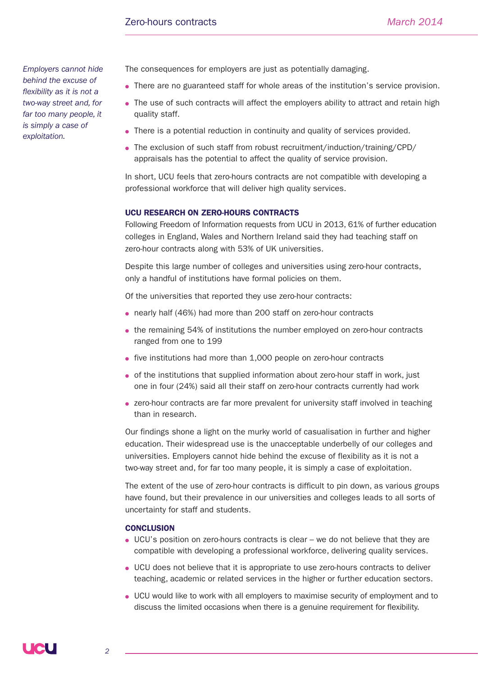*Employers cannot hide behind the excuse of flexibility as it is not a two-way street and, for far too many people, it is simply a case of exploitation.*

The consequences for employers are just as potentially damaging.

- There are no guaranteed staff for whole areas of the institution's service provision.
- The use of such contracts will affect the employers ability to attract and retain high quality staff.
- There is a potential reduction in continuity and quality of services provided.
- The exclusion of such staff from robust recruitment/induction/training/CPD/ appraisals has the potential to affect the quality of service provision.

In short, UCU feels that zero-hours contracts are not compatible with developing a professional workforce that will deliver high quality services.

#### UCU RESEARCH ON ZERO-HOURS CONTRACTS

Following Freedom of Information requests from UCU in 2013, 61% of further education colleges in England, Wales and Northern Ireland said they had teaching staff on zero-hour contracts along with 53% of UK universities.

Despite this large number of colleges and universities using zero-hour contracts, only a handful of institutions have formal policies on them.

Of the universities that reported they use zero-hour contracts:

- nearly half (46%) had more than 200 staff on zero-hour contracts
- the remaining 54% of institutions the number employed on zero-hour contracts ranged from one to 199
- five institutions had more than 1,000 people on zero-hour contracts
- of the institutions that supplied information about zero-hour staff in work, just one in four (24%) said all their staff on zero-hour contracts currently had work
- zero-hour contracts are far more prevalent for university staff involved in teaching than in research.

Our findings shone a light on the murky world of casualisation in further and higher education. Their widespread use is the unacceptable underbelly of our colleges and universities. Employers cannot hide behind the excuse of flexibility as it is not a two-way street and, for far too many people, it is simply a case of exploitation.

The extent of the use of zero-hour contracts is difficult to pin down, as various groups have found, but their prevalence in our universities and colleges leads to all sorts of uncertainty for staff and students.

#### **CONCLUSION**

- UCU's position on zero-hours contracts is clear we do not believe that they are compatible with developing a professional workforce, delivering quality services.
- UCU does not believe that it is appropriate to use zero-hours contracts to deliver teaching, academic or related services in the higher or further education sectors.
- UCU would like to work with all employers to maximise security of employment and to discuss the limited occasions when there is a genuine requirement for flexibility.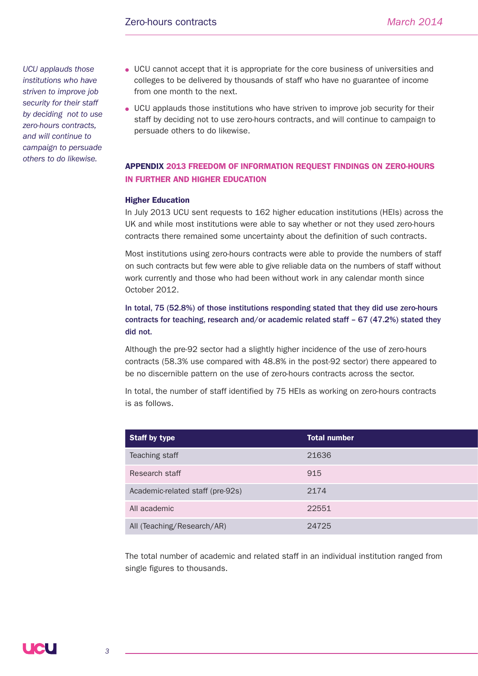*UCU applauds those institutions who have striven to improve job security for their staff by deciding not to use zero-hours contracts, and will continue to campaign to persuade others to do likewise.* 

- UCU cannot accept that it is appropriate for the core business of universities and colleges to be delivered by thousands of staff who have no guarantee of income from one month to the next.
- UCU applauds those institutions who have striven to improve job security for their staff by deciding not to use zero-hours contracts, and will continue to campaign to persuade others to do likewise.

# APPENDIX 2013 FREEDOM OF INFORMATION REQUEST FINDINGS ON ZERO-HOURS IN FURTHER AND HIGHER EDUCATION

## Higher Education

In July 2013 UCU sent requests to 162 higher education institutions (HEIs) across the UK and while most institutions were able to say whether or not they used zero-hours contracts there remained some uncertainty about the definition of such contracts.

Most institutions using zero-hours contracts were able to provide the numbers of staff on such contracts but few were able to give reliable data on the numbers of staff without work currently and those who had been without work in any calendar month since October 2012.

In total, 75 (52.8%) of those institutions responding stated that they did use zero-hours contracts for teaching, research and/or academic related staff – 67 (47.2%) stated they did not.

Although the pre-92 sector had a slightly higher incidence of the use of zero-hours contracts (58.3% use compared with 48.8% in the post-92 sector) there appeared to be no discernible pattern on the use of zero-hours contracts across the sector.

In total, the number of staff identified by 75 HEIs as working on zero-hours contracts is as follows.

| <b>Staff by type</b>             | <b>Total number</b> |
|----------------------------------|---------------------|
| Teaching staff                   | 21636               |
| Research staff                   | 915                 |
| Academic-related staff (pre-92s) | 2174                |
| All academic                     | 22551               |
| All (Teaching/Research/AR)       | 24725               |

The total number of academic and related staff in an individual institution ranged from single figures to thousands.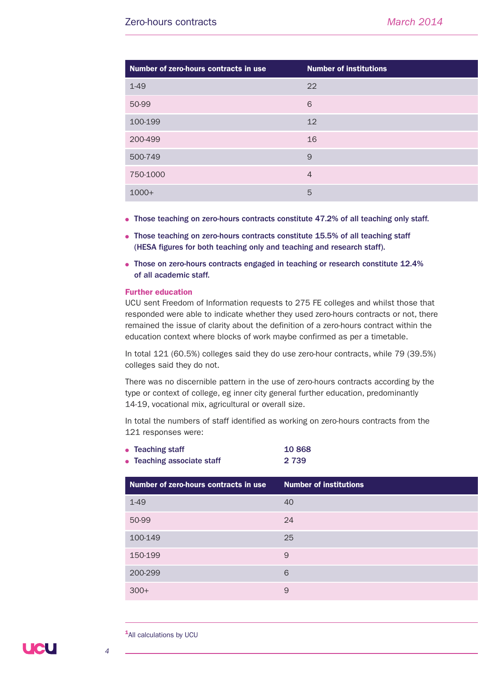| Number of zero-hours contracts in use | <b>Number of institutions</b> |
|---------------------------------------|-------------------------------|
| $1 - 49$                              | 22                            |
| 50-99                                 | 6                             |
| 100-199                               | 12                            |
| 200-499                               | 16                            |
| 500-749                               | 9                             |
| 750-1000                              | $\overline{4}$                |
| $1000+$                               | 5                             |

- Those teaching on zero-hours contracts constitute 47.2% of all teaching only staff.
- Those teaching on zero-hours contracts constitute 15.5% of all teaching staff (HESA figures for both teaching only and teaching and research staff).
- Those on zero-hours contracts engaged in teaching or research constitute 12.4% of all academic staff.

#### Further education

UCU sent Freedom of Information requests to 275 FE colleges and whilst those that responded were able to indicate whether they used zero-hours contracts or not, there remained the issue of clarity about the definition of a zero-hours contract within the education context where blocks of work maybe confirmed as per a timetable.

In total 121 (60.5%) colleges said they do use zero-hour contracts, while 79 (39.5%) colleges said they do not.

There was no discernible pattern in the use of zero-hours contracts according by the type or context of college, eg inner city general further education, predominantly 14-19, vocational mix, agricultural or overall size.

In total the numbers of staff identified as working on zero-hours contracts from the 121 responses were:

| $\bullet$ Teaching staff   | 10868   |
|----------------------------|---------|
| • Teaching associate staff | 2 7 3 9 |

| Number of zero-hours contracts in use | <b>Number of institutions</b> |
|---------------------------------------|-------------------------------|
| $1 - 49$                              | 40                            |
| 50-99                                 | 24                            |
| 100-149                               | 25                            |
| 150-199                               | 9                             |
| 200-299                               | 6                             |
| $300+$                                | 9                             |

**1**All calculations by UCU

**UCU** 

*4*